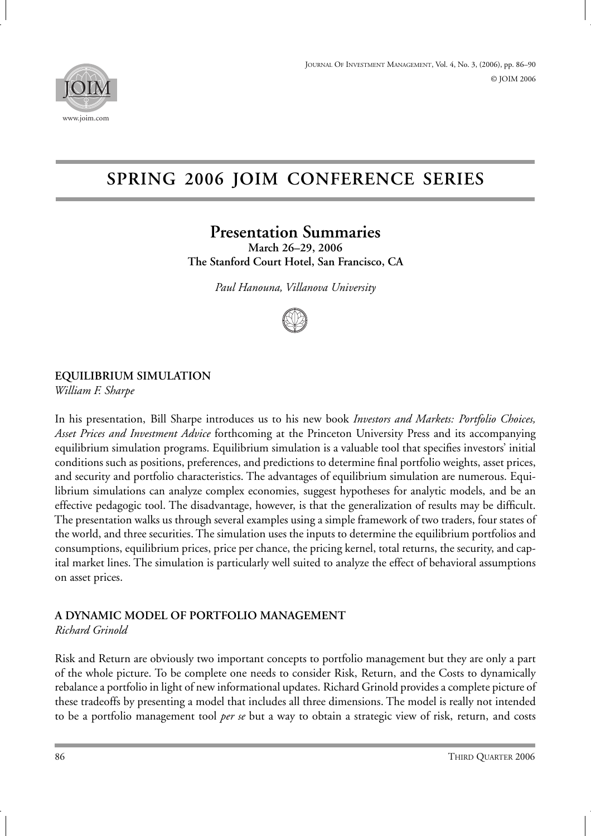

# **SPRING 2006 JOIM CONFERENCE SERIES**

# **Presentation Summaries**

**March 26–29, 2006 The Stanford Court Hotel, San Francisco, CA**

*Paul Hanouna, Villanova University*



#### **EQUILIBRIUM SIMULATION**

*William F. Sharpe*

In his presentation, Bill Sharpe introduces us to his new book *Investors and Markets: Portfolio Choices, Asset Prices and Investment Advice* forthcoming at the Princeton University Press and its accompanying equilibrium simulation programs. Equilibrium simulation is a valuable tool that specifies investors' initial conditions such as positions, preferences, and predictions to determine final portfolio weights, asset prices, and security and portfolio characteristics. The advantages of equilibrium simulation are numerous. Equilibrium simulations can analyze complex economies, suggest hypotheses for analytic models, and be an effective pedagogic tool. The disadvantage, however, is that the generalization of results may be difficult. The presentation walks us through several examples using a simple framework of two traders, four states of the world, and three securities. The simulation uses the inputs to determine the equilibrium portfolios and consumptions, equilibrium prices, price per chance, the pricing kernel, total returns, the security, and capital market lines. The simulation is particularly well suited to analyze the effect of behavioral assumptions on asset prices.

### **A DYNAMIC MODEL OF PORTFOLIO MANAGEMENT**

*Richard Grinold*

Risk and Return are obviously two important concepts to portfolio management but they are only a part of the whole picture. To be complete one needs to consider Risk, Return, and the Costs to dynamically rebalance a portfolio in light of new informational updates. Richard Grinold provides a complete picture of these tradeoffs by presenting a model that includes all three dimensions. The model is really not intended to be a portfolio management tool *per se* but a way to obtain a strategic view of risk, return, and costs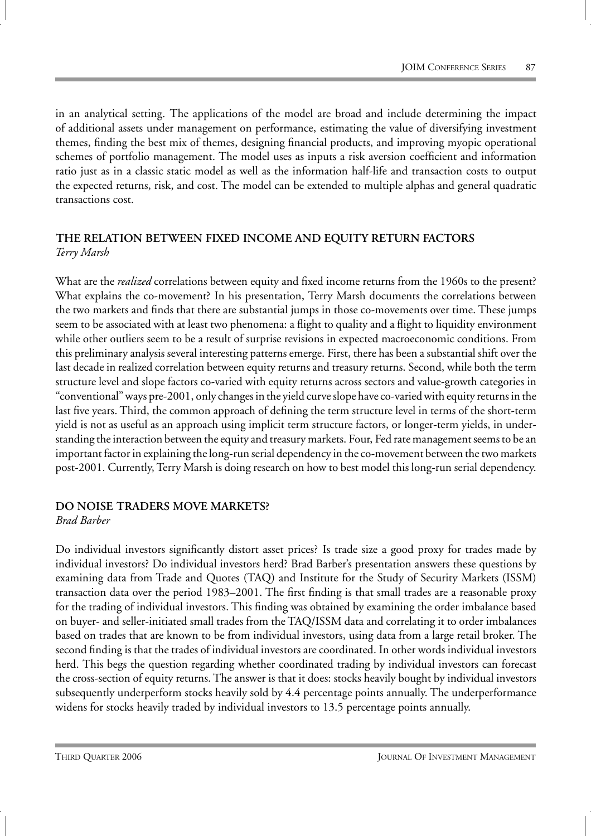in an analytical setting. The applications of the model are broad and include determining the impact of additional assets under management on performance, estimating the value of diversifying investment themes, finding the best mix of themes, designing financial products, and improving myopic operational schemes of portfolio management. The model uses as inputs a risk aversion coefficient and information ratio just as in a classic static model as well as the information half-life and transaction costs to output the expected returns, risk, and cost. The model can be extended to multiple alphas and general quadratic transactions cost.

#### **THE RELATION BETWEEN FIXED INCOME AND EQUITY RETURN FACTORS** *Terry Marsh*

What are the *realized* correlations between equity and fixed income returns from the 1960s to the present? What explains the co-movement? In his presentation, Terry Marsh documents the correlations between the two markets and finds that there are substantial jumps in those co-movements over time. These jumps seem to be associated with at least two phenomena: a flight to quality and a flight to liquidity environment while other outliers seem to be a result of surprise revisions in expected macroeconomic conditions. From this preliminary analysis several interesting patterns emerge. First, there has been a substantial shift over the last decade in realized correlation between equity returns and treasury returns. Second, while both the term structure level and slope factors co-varied with equity returns across sectors and value-growth categories in "conventional" ways pre-2001, only changes in the yield curve slope have co-varied with equity returns in the last five years. Third, the common approach of defining the term structure level in terms of the short-term yield is not as useful as an approach using implicit term structure factors, or longer-term yields, in understanding the interaction between the equity and treasury markets. Four, Fed rate management seems to be an important factor in explaining the long-run serial dependency in the co-movement between the two markets post-2001. Currently, Terry Marsh is doing research on how to best model this long-run serial dependency.

### **DO NOISE TRADERS MOVE MARKETS?**

#### *Brad Barber*

Do individual investors significantly distort asset prices? Is trade size a good proxy for trades made by individual investors? Do individual investors herd? Brad Barber's presentation answers these questions by examining data from Trade and Quotes (TAQ) and Institute for the Study of Security Markets (ISSM) transaction data over the period 1983–2001. The first finding is that small trades are a reasonable proxy for the trading of individual investors. This finding was obtained by examining the order imbalance based on buyer- and seller-initiated small trades from the TAQ/ISSM data and correlating it to order imbalances based on trades that are known to be from individual investors, using data from a large retail broker. The second finding is that the trades of individual investors are coordinated. In other words individual investors herd. This begs the question regarding whether coordinated trading by individual investors can forecast the cross-section of equity returns. The answer is that it does: stocks heavily bought by individual investors subsequently underperform stocks heavily sold by 4.4 percentage points annually. The underperformance widens for stocks heavily traded by individual investors to 13.5 percentage points annually.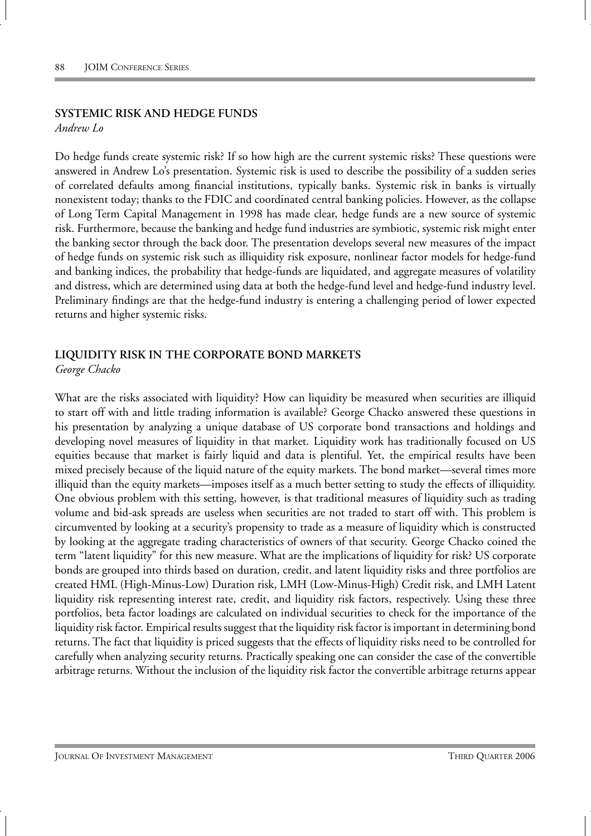#### **SYSTEMIC RISK AND HEDGE FUNDS**

*Andrew Lo*

Do hedge funds create systemic risk? If so how high are the current systemic risks? These questions were answered in Andrew Lo's presentation. Systemic risk is used to describe the possibility of a sudden series of correlated defaults among financial institutions, typically banks. Systemic risk in banks is virtually nonexistent today; thanks to the FDIC and coordinated central banking policies. However, as the collapse of Long Term Capital Management in 1998 has made clear, hedge funds are a new source of systemic risk. Furthermore, because the banking and hedge fund industries are symbiotic, systemic risk might enter the banking sector through the back door. The presentation develops several new measures of the impact of hedge funds on systemic risk such as illiquidity risk exposure, nonlinear factor models for hedge-fund and banking indices, the probability that hedge-funds are liquidated, and aggregate measures of volatility and distress, which are determined using data at both the hedge-fund level and hedge-fund industry level. Preliminary findings are that the hedge-fund industry is entering a challenging period of lower expected returns and higher systemic risks.

### **LIQUIDITY RISK IN THE CORPORATE BOND MARKETS**

*George Chacko*

What are the risks associated with liquidity? How can liquidity be measured when securities are illiquid to start off with and little trading information is available? George Chacko answered these questions in his presentation by analyzing a unique database of US corporate bond transactions and holdings and developing novel measures of liquidity in that market. Liquidity work has traditionally focused on US equities because that market is fairly liquid and data is plentiful. Yet, the empirical results have been mixed precisely because of the liquid nature of the equity markets. The bond market—several times more illiquid than the equity markets—imposes itself as a much better setting to study the effects of illiquidity. One obvious problem with this setting, however, is that traditional measures of liquidity such as trading volume and bid-ask spreads are useless when securities are not traded to start off with. This problem is circumvented by looking at a security's propensity to trade as a measure of liquidity which is constructed by looking at the aggregate trading characteristics of owners of that security. George Chacko coined the term "latent liquidity" for this new measure. What are the implications of liquidity for risk? US corporate bonds are grouped into thirds based on duration, credit, and latent liquidity risks and three portfolios are created HML (High-Minus-Low) Duration risk, LMH (Low-Minus-High) Credit risk, and LMH Latent liquidity risk representing interest rate, credit, and liquidity risk factors, respectively. Using these three portfolios, beta factor loadings are calculated on individual securities to check for the importance of the liquidity risk factor. Empirical results suggest that the liquidity risk factor is important in determining bond returns. The fact that liquidity is priced suggests that the effects of liquidity risks need to be controlled for carefully when analyzing security returns. Practically speaking one can consider the case of the convertible arbitrage returns. Without the inclusion of the liquidity risk factor the convertible arbitrage returns appear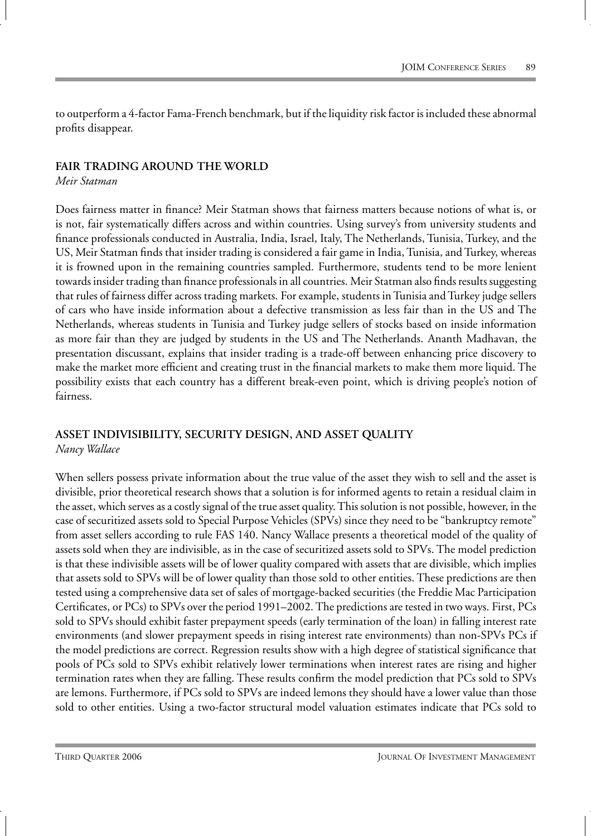to outperform a 4-factor Fama-French benchmark, but if the liquidity risk factor is included these abnormal profits disappear.

#### **FAIR TRADING AROUND THE WORLD**

*Meir Statman*

Does fairness matter in finance? Meir Statman shows that fairness matters because notions of what is, or is not, fair systematically differs across and within countries. Using survey's from university students and finance professionals conducted in Australia, India, Israel, Italy, The Netherlands, Tunisia, Turkey, and the US, Meir Statman finds that insider trading is considered a fair game in India, Tunisia, and Turkey, whereas it is frowned upon in the remaining countries sampled. Furthermore, students tend to be more lenient towards insider trading than finance professionals in all countries. Meir Statman also finds results suggesting that rules of fairness differ across trading markets. For example, students in Tunisia and Turkey judge sellers of cars who have inside information about a defective transmission as less fair than in the US and The Netherlands, whereas students in Tunisia and Turkey judge sellers of stocks based on inside information as more fair than they are judged by students in the US and The Netherlands. Ananth Madhavan, the presentation discussant, explains that insider trading is a trade-off between enhancing price discovery to make the market more efficient and creating trust in the financial markets to make them more liquid. The possibility exists that each country has a different break-even point, which is driving people's notion of fairness.

#### **ASSET INDIVISIBILITY, SECURITY DESIGN, AND ASSET QUALITY** *Nancy Wallace*

When sellers possess private information about the true value of the asset they wish to sell and the asset is divisible, prior theoretical research shows that a solution is for informed agents to retain a residual claim in the asset, which serves as a costly signal of the true asset quality. This solution is not possible, however, in the case of securitized assets sold to Special Purpose Vehicles (SPVs) since they need to be "bankruptcy remote" from asset sellers according to rule FAS 140. Nancy Wallace presents a theoretical model of the quality of assets sold when they are indivisible, as in the case of securitized assets sold to SPVs. The model prediction is that these indivisible assets will be of lower quality compared with assets that are divisible, which implies that assets sold to SPVs will be of lower quality than those sold to other entities. These predictions are then tested using a comprehensive data set of sales of mortgage-backed securities (the Freddie Mac Participation Certificates, or PCs) to SPVs over the period 1991–2002. The predictions are tested in two ways. First, PCs sold to SPVs should exhibit faster prepayment speeds (early termination of the loan) in falling interest rate environments (and slower prepayment speeds in rising interest rate environments) than non-SPVs PCs if the model predictions are correct. Regression results show with a high degree of statistical significance that pools of PCs sold to SPVs exhibit relatively lower terminations when interest rates are rising and higher termination rates when they are falling. These results confirm the model prediction that PCs sold to SPVs are lemons. Furthermore, if PCs sold to SPVs are indeed lemons they should have a lower value than those sold to other entities. Using a two-factor structural model valuation estimates indicate that PCs sold to